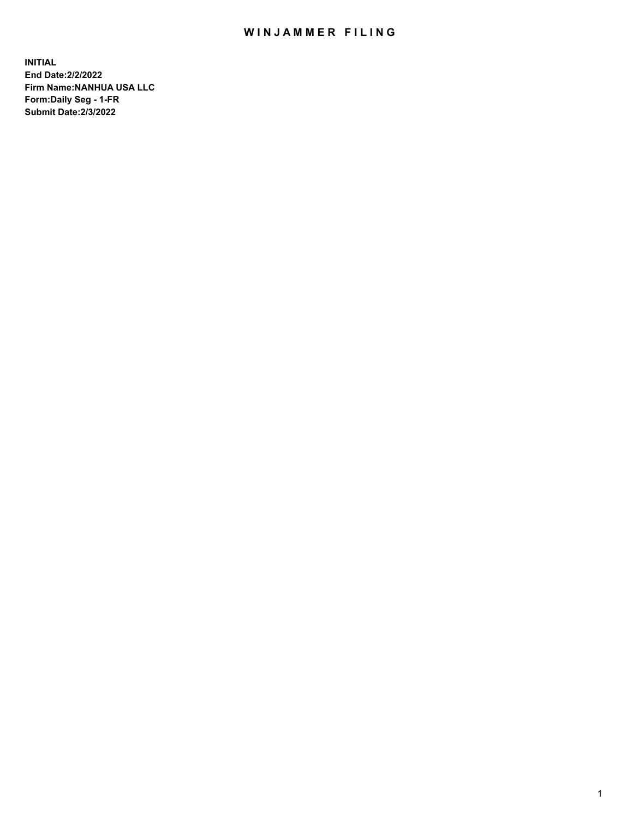## WIN JAMMER FILING

**INITIAL End Date:2/2/2022 Firm Name:NANHUA USA LLC Form:Daily Seg - 1-FR Submit Date:2/3/2022**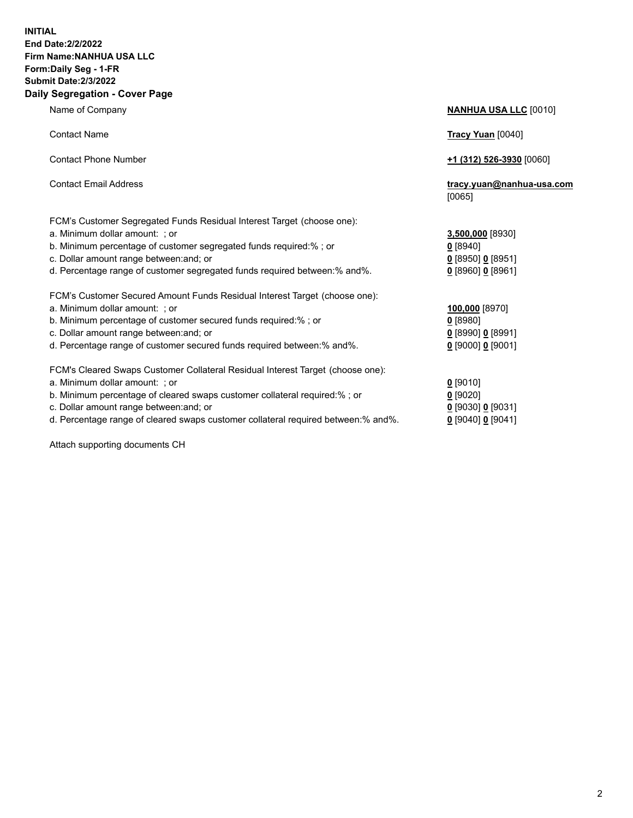## **INITIAL End Date:2/2/2022 Firm Name:NANHUA USA LLC Form:Daily Seg - 1-FR Submit Date:2/3/2022 Daily Segregation - Cover Page**

Name of Company **NANHUA USA LLC** [0010] Contact Name **Tracy Yuan** [0040] Contact Phone Number **+1 (312) 526-3930** [0060] Contact Email Address **tracy.yuan@nanhua-usa.com** [0065] FCM's Customer Segregated Funds Residual Interest Target (choose one): a. Minimum dollar amount: ; or **3,500,000** [8930] b. Minimum percentage of customer segregated funds required:% ; or **0** [8940] c. Dollar amount range between:and; or **0** [8950] **0** [8951] d. Percentage range of customer segregated funds required between:% and%. **0** [8960] **0** [8961] FCM's Customer Secured Amount Funds Residual Interest Target (choose one): a. Minimum dollar amount: ; or **100,000** [8970] b. Minimum percentage of customer secured funds required:% ; or **0** [8980] c. Dollar amount range between:and; or **0** [8990] **0** [8991] d. Percentage range of customer secured funds required between:% and%. **0** [9000] **0** [9001] FCM's Cleared Swaps Customer Collateral Residual Interest Target (choose one): a. Minimum dollar amount: ; or **0** [9010] b. Minimum percentage of cleared swaps customer collateral required:% ; or **0** [9020] c. Dollar amount range between:and; or **0** [9030] **0** [9031] d. Percentage range of cleared swaps customer collateral required between:% and%. **0** [9040] **0** [9041]

Attach supporting documents CH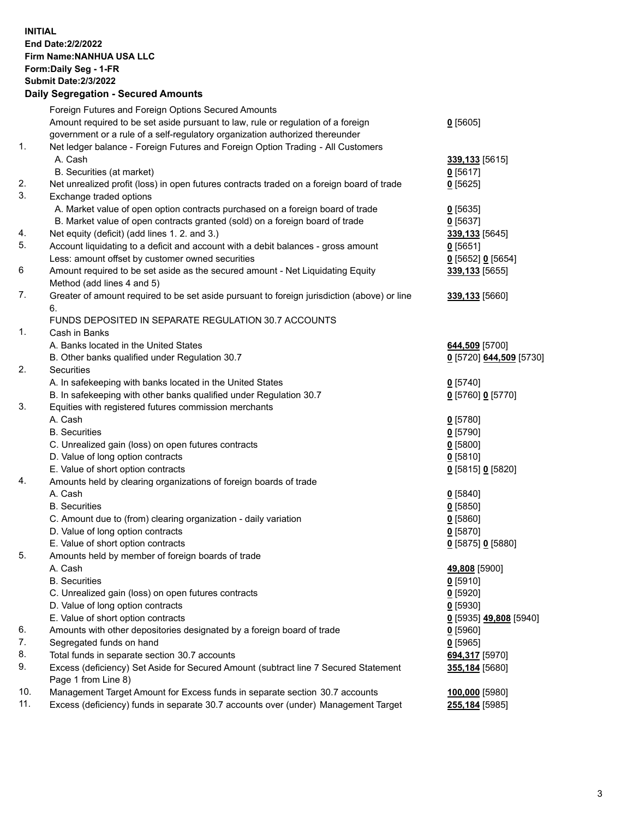**INITIAL End Date:2/2/2022 Firm Name:NANHUA USA LLC Form:Daily Seg - 1-FR Submit Date:2/3/2022 Daily Segregation - Secured Amounts**

|     | Foreign Futures and Foreign Options Secured Amounts                                                        |                         |
|-----|------------------------------------------------------------------------------------------------------------|-------------------------|
|     | Amount required to be set aside pursuant to law, rule or regulation of a foreign                           | $0$ [5605]              |
|     | government or a rule of a self-regulatory organization authorized thereunder                               |                         |
| 1.  | Net ledger balance - Foreign Futures and Foreign Option Trading - All Customers                            |                         |
|     | A. Cash                                                                                                    | 339,133 [5615]          |
|     | B. Securities (at market)                                                                                  | $0$ [5617]              |
| 2.  | Net unrealized profit (loss) in open futures contracts traded on a foreign board of trade                  | $0$ [5625]              |
| 3.  | Exchange traded options                                                                                    |                         |
|     | A. Market value of open option contracts purchased on a foreign board of trade                             | $0$ [5635]              |
|     | B. Market value of open contracts granted (sold) on a foreign board of trade                               | $0$ [5637]              |
| 4.  | Net equity (deficit) (add lines 1. 2. and 3.)                                                              | 339,133 [5645]          |
| 5.  | Account liquidating to a deficit and account with a debit balances - gross amount                          | $0$ [5651]              |
|     | Less: amount offset by customer owned securities                                                           | $Q$ [5652] $Q$ [5654]   |
| 6   | Amount required to be set aside as the secured amount - Net Liquidating Equity                             | 339,133 [5655]          |
|     | Method (add lines 4 and 5)                                                                                 |                         |
| 7.  | Greater of amount required to be set aside pursuant to foreign jurisdiction (above) or line                | 339,133 [5660]          |
|     | 6.                                                                                                         |                         |
|     | FUNDS DEPOSITED IN SEPARATE REGULATION 30.7 ACCOUNTS                                                       |                         |
| 1.  | Cash in Banks                                                                                              |                         |
|     | A. Banks located in the United States                                                                      | 644,509 [5700]          |
|     | B. Other banks qualified under Regulation 30.7                                                             | 0 [5720] 644,509 [5730] |
| 2.  | <b>Securities</b>                                                                                          |                         |
|     | A. In safekeeping with banks located in the United States                                                  | $0$ [5740]              |
|     | B. In safekeeping with other banks qualified under Regulation 30.7                                         | 0 [5760] 0 [5770]       |
| 3.  | Equities with registered futures commission merchants                                                      |                         |
|     | A. Cash                                                                                                    | $0$ [5780]              |
|     | <b>B.</b> Securities                                                                                       | $0$ [5790]              |
|     | C. Unrealized gain (loss) on open futures contracts                                                        | $0$ [5800]              |
|     | D. Value of long option contracts                                                                          | $0$ [5810]              |
|     | E. Value of short option contracts                                                                         | 0 [5815] 0 [5820]       |
| 4.  | Amounts held by clearing organizations of foreign boards of trade                                          |                         |
|     | A. Cash                                                                                                    | $0$ [5840]              |
|     | <b>B.</b> Securities                                                                                       | $0$ [5850]              |
|     | C. Amount due to (from) clearing organization - daily variation                                            | $0$ [5860]              |
|     | D. Value of long option contracts                                                                          | $0$ [5870]              |
|     | E. Value of short option contracts                                                                         | 0 [5875] 0 [5880]       |
| 5.  | Amounts held by member of foreign boards of trade                                                          |                         |
|     | A. Cash                                                                                                    | 49,808 [5900]           |
|     | <b>B.</b> Securities                                                                                       | $0$ [5910]              |
|     | C. Unrealized gain (loss) on open futures contracts                                                        | $0$ [5920]              |
|     | D. Value of long option contracts                                                                          | $0$ [5930]              |
|     | E. Value of short option contracts                                                                         | 0 [5935] 49,808 [5940]  |
| 6.  | Amounts with other depositories designated by a foreign board of trade                                     | $0$ [5960]              |
| 7.  | Segregated funds on hand                                                                                   | $0$ [5965]              |
| 8.  | Total funds in separate section 30.7 accounts                                                              | 694,317 [5970]          |
| 9.  | Excess (deficiency) Set Aside for Secured Amount (subtract line 7 Secured Statement<br>Page 1 from Line 8) | 355,184 [5680]          |
| 10. | Management Target Amount for Excess funds in separate section 30.7 accounts                                | 100,000 [5980]          |
| 11. | Excess (deficiency) funds in separate 30.7 accounts over (under) Management Target                         | 255,184 [5985]          |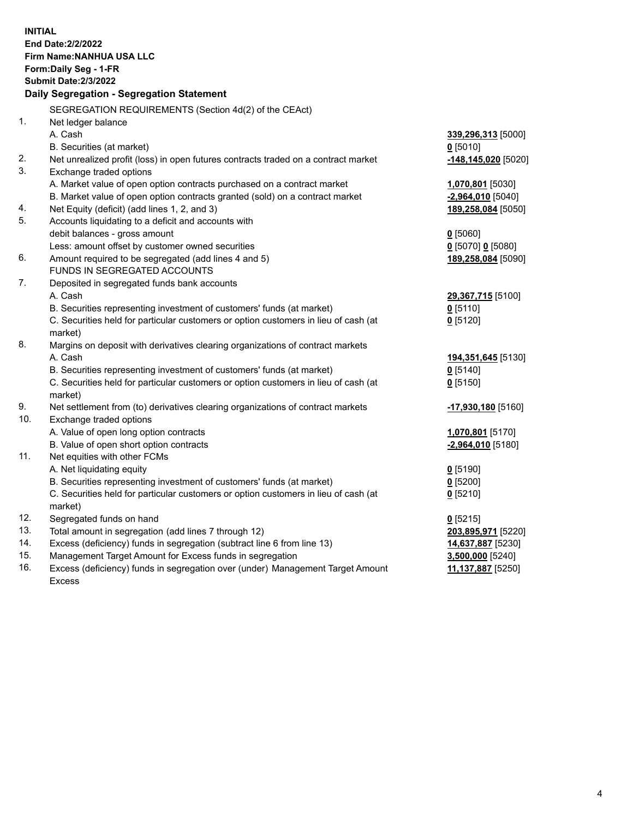| <b>INITIAL</b><br>End Date: 2/2/2022<br>Firm Name: NANHUA USA LLC<br>Form: Daily Seg - 1-FR<br><b>Submit Date:2/3/2022</b><br>Daily Segregation - Segregation Statement |                                                                                                          |                                           |  |  |
|-------------------------------------------------------------------------------------------------------------------------------------------------------------------------|----------------------------------------------------------------------------------------------------------|-------------------------------------------|--|--|
|                                                                                                                                                                         | SEGREGATION REQUIREMENTS (Section 4d(2) of the CEAct)                                                    |                                           |  |  |
| 1.                                                                                                                                                                      | Net ledger balance                                                                                       |                                           |  |  |
|                                                                                                                                                                         | A. Cash                                                                                                  | 339,296,313 [5000]                        |  |  |
|                                                                                                                                                                         | B. Securities (at market)                                                                                | $0$ [5010]                                |  |  |
| 2.                                                                                                                                                                      | Net unrealized profit (loss) in open futures contracts traded on a contract market                       | $-148,145,020$ [5020]                     |  |  |
| 3.                                                                                                                                                                      | Exchange traded options                                                                                  |                                           |  |  |
|                                                                                                                                                                         | A. Market value of open option contracts purchased on a contract market                                  | 1,070,801 [5030]                          |  |  |
|                                                                                                                                                                         | B. Market value of open option contracts granted (sold) on a contract market                             | $-2,964,010$ [5040]                       |  |  |
| 4.<br>5.                                                                                                                                                                | Net Equity (deficit) (add lines 1, 2, and 3)                                                             | 189,258,084 [5050]                        |  |  |
|                                                                                                                                                                         | Accounts liquidating to a deficit and accounts with                                                      |                                           |  |  |
|                                                                                                                                                                         | debit balances - gross amount                                                                            | $0$ [5060]                                |  |  |
| 6.                                                                                                                                                                      | Less: amount offset by customer owned securities<br>Amount required to be segregated (add lines 4 and 5) | $0$ [5070] 0 [5080]<br>189,258,084 [5090] |  |  |
|                                                                                                                                                                         | FUNDS IN SEGREGATED ACCOUNTS                                                                             |                                           |  |  |
| 7.                                                                                                                                                                      | Deposited in segregated funds bank accounts                                                              |                                           |  |  |
|                                                                                                                                                                         | A. Cash                                                                                                  | 29,367,715 [5100]                         |  |  |
|                                                                                                                                                                         | B. Securities representing investment of customers' funds (at market)                                    | $0$ [5110]                                |  |  |
|                                                                                                                                                                         | C. Securities held for particular customers or option customers in lieu of cash (at                      | $0$ [5120]                                |  |  |
|                                                                                                                                                                         | market)                                                                                                  |                                           |  |  |
| 8.                                                                                                                                                                      | Margins on deposit with derivatives clearing organizations of contract markets                           |                                           |  |  |
|                                                                                                                                                                         | A. Cash                                                                                                  | 194,351,645 [5130]                        |  |  |
|                                                                                                                                                                         | B. Securities representing investment of customers' funds (at market)                                    | $0$ [5140]                                |  |  |
|                                                                                                                                                                         | C. Securities held for particular customers or option customers in lieu of cash (at                      | $0$ [5150]                                |  |  |
|                                                                                                                                                                         | market)                                                                                                  |                                           |  |  |
| 9.                                                                                                                                                                      | Net settlement from (to) derivatives clearing organizations of contract markets                          | -17,930,180 [5160]                        |  |  |
| 10.                                                                                                                                                                     | Exchange traded options                                                                                  |                                           |  |  |
|                                                                                                                                                                         | A. Value of open long option contracts                                                                   | 1,070,801 [5170]                          |  |  |
|                                                                                                                                                                         | B. Value of open short option contracts                                                                  | $-2,964,010$ [5180]                       |  |  |
| 11.                                                                                                                                                                     | Net equities with other FCMs                                                                             |                                           |  |  |
|                                                                                                                                                                         | A. Net liquidating equity                                                                                | $0$ [5190]                                |  |  |
|                                                                                                                                                                         | B. Securities representing investment of customers' funds (at market)                                    | $0$ [5200]                                |  |  |
|                                                                                                                                                                         | C. Securities held for particular customers or option customers in lieu of cash (at                      | $0$ [5210]                                |  |  |
|                                                                                                                                                                         | market)                                                                                                  |                                           |  |  |
| 12.                                                                                                                                                                     | Segregated funds on hand                                                                                 | $0$ [5215]                                |  |  |
| 13.                                                                                                                                                                     | Total amount in segregation (add lines 7 through 12)                                                     | 203,895,971 [5220]                        |  |  |
| 14.                                                                                                                                                                     | Excess (deficiency) funds in segregation (subtract line 6 from line 13)                                  | 14,637,887 [5230]                         |  |  |
| 15.                                                                                                                                                                     | Management Target Amount for Excess funds in segregation                                                 | $3,500,000$ [5240]                        |  |  |
| 16.                                                                                                                                                                     | Excess (deficiency) funds in segregation over (under) Management Target Amount                           | 11,137,887 [5250]                         |  |  |
|                                                                                                                                                                         | <b>Excess</b>                                                                                            |                                           |  |  |